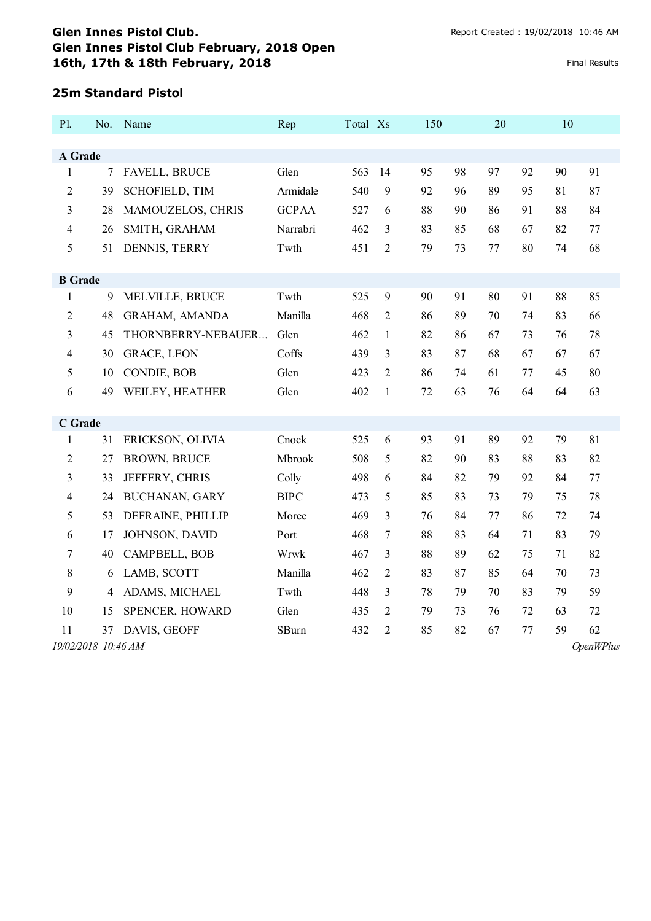#### **25m Standard Pistol**

| P1.                 | No. | Name                  | Rep          | Total Xs |                | 150 | 20       |    | 10 |                  |
|---------------------|-----|-----------------------|--------------|----------|----------------|-----|----------|----|----|------------------|
|                     |     |                       |              |          |                |     |          |    |    |                  |
| A Grade             |     |                       |              |          |                |     |          |    |    |                  |
| $\mathbf{1}$        | 7   | <b>FAVELL, BRUCE</b>  | Glen         | 563      | 14             | 95  | 98<br>97 | 92 | 90 | 91               |
| $\overline{2}$      | 39  | <b>SCHOFIELD, TIM</b> | Armidale     | 540      | 9              | 92  | 96<br>89 | 95 | 81 | 87               |
| 3                   | 28  | MAMOUZELOS, CHRIS     | <b>GCPAA</b> | 527      | 6              | 88  | 90<br>86 | 91 | 88 | 84               |
| 4                   | 26  | SMITH, GRAHAM         | Narrabri     | 462      | 3              | 83  | 85<br>68 | 67 | 82 | 77               |
| 5                   | 51  | DENNIS, TERRY         | Twth         | 451      | $\overline{c}$ | 79  | 73<br>77 | 80 | 74 | 68               |
|                     |     |                       |              |          |                |     |          |    |    |                  |
| <b>B</b> Grade      |     |                       |              |          |                |     |          |    |    |                  |
| 1                   | 9   | MELVILLE, BRUCE       | Twth         | 525      | 9              | 90  | 91<br>80 | 91 | 88 | 85               |
| $\overline{c}$      | 48  | GRAHAM, AMANDA        | Manilla      | 468      | $\overline{c}$ | 86  | 89<br>70 | 74 | 83 | 66               |
| 3                   | 45  | THORNBERRY-NEBAUER    | Glen         | 462      | $\mathbf{1}$   | 82  | 86<br>67 | 73 | 76 | 78               |
| 4                   | 30  | <b>GRACE, LEON</b>    | Coffs        | 439      | 3              | 83  | 87<br>68 | 67 | 67 | 67               |
| 5                   | 10  | CONDIE, BOB           | Glen         | 423      | 2              | 86  | 74<br>61 | 77 | 45 | 80               |
| 6                   | 49  | WEILEY, HEATHER       | Glen         | 402      | $\mathbf{1}$   | 72  | 63<br>76 | 64 | 64 | 63               |
|                     |     |                       |              |          |                |     |          |    |    |                  |
| <b>C</b> Grade      |     |                       |              |          |                |     |          |    |    |                  |
| $\mathbf{1}$        | 31  | ERICKSON, OLIVIA      | Cnock        | 525      | 6              | 93  | 91<br>89 | 92 | 79 | 81               |
| $\overline{c}$      | 27  | <b>BROWN, BRUCE</b>   | Mbrook       | 508      | 5              | 82  | 90<br>83 | 88 | 83 | 82               |
| 3                   | 33  | JEFFERY, CHRIS        | Colly        | 498      | 6              | 84  | 82<br>79 | 92 | 84 | 77               |
| 4                   | 24  | <b>BUCHANAN, GARY</b> | <b>BIPC</b>  | 473      | 5              | 85  | 83<br>73 | 79 | 75 | 78               |
| 5                   | 53  | DEFRAINE, PHILLIP     | Moree        | 469      | 3              | 76  | 84<br>77 | 86 | 72 | 74               |
| 6                   | 17  | JOHNSON, DAVID        | Port         | 468      | 7              | 88  | 83<br>64 | 71 | 83 | 79               |
| 7                   | 40  | CAMPBELL, BOB         | Wrwk         | 467      | 3              | 88  | 89<br>62 | 75 | 71 | 82               |
| 8                   | 6   | LAMB, SCOTT           | Manilla      | 462      | 2              | 83  | 87<br>85 | 64 | 70 | 73               |
| 9                   | 4   | ADAMS, MICHAEL        | Twth         | 448      | 3              | 78  | 79<br>70 | 83 | 79 | 59               |
| 10                  | 15  | SPENCER, HOWARD       | Glen         | 435      | 2              | 79  | 73<br>76 | 72 | 63 | 72               |
| 11                  | 37  | DAVIS, GEOFF          | <b>SBurn</b> | 432      | 2              | 85  | 82<br>67 | 77 | 59 | 62               |
| 19/02/2018 10:46 AM |     |                       |              |          |                |     |          |    |    | <b>OpenWPlus</b> |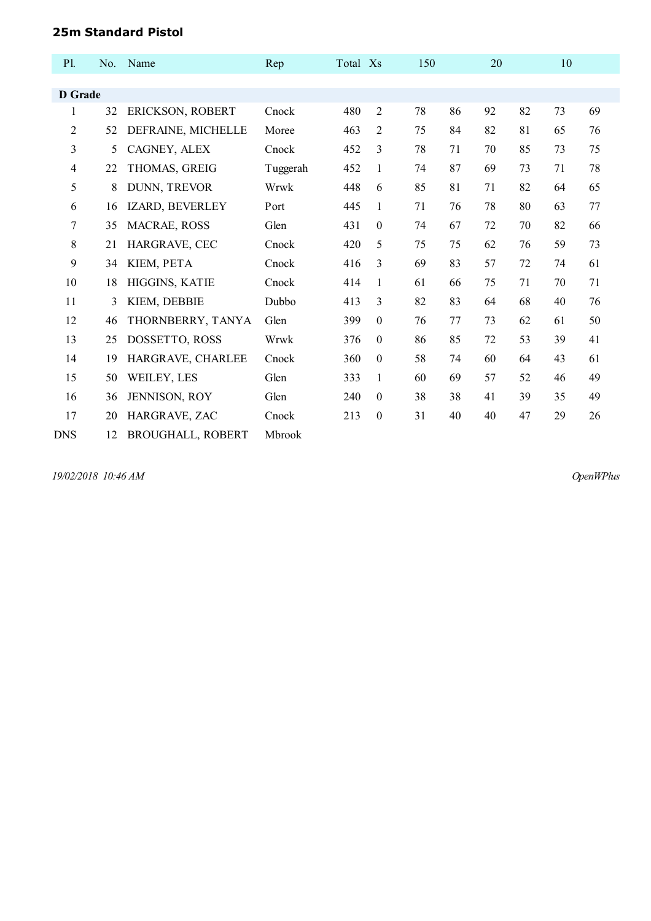#### **25m Standard Pistol**

| P1.            | No. | Name                     | Rep      | Total Xs |                  | 150 |    | 20 |    | 10 |    |
|----------------|-----|--------------------------|----------|----------|------------------|-----|----|----|----|----|----|
|                |     |                          |          |          |                  |     |    |    |    |    |    |
| <b>D</b> Grade |     |                          |          |          |                  |     |    |    |    |    |    |
| 1              | 32  | ERICKSON, ROBERT         | Cnock    | 480      | $\overline{2}$   | 78  | 86 | 92 | 82 | 73 | 69 |
| 2              | 52  | DEFRAINE, MICHELLE       | Moree    | 463      | $\overline{2}$   | 75  | 84 | 82 | 81 | 65 | 76 |
| 3              | 5   | CAGNEY, ALEX             | Cnock    | 452      | 3                | 78  | 71 | 70 | 85 | 73 | 75 |
| $\overline{4}$ | 22  | THOMAS, GREIG            | Tuggerah | 452      | 1                | 74  | 87 | 69 | 73 | 71 | 78 |
| 5              | 8   | DUNN, TREVOR             | Wrwk     | 448      | 6                | 85  | 81 | 71 | 82 | 64 | 65 |
| 6              | 16  | IZARD, BEVERLEY          | Port     | 445      | 1                | 71  | 76 | 78 | 80 | 63 | 77 |
| 7              | 35  | MACRAE, ROSS             | Glen     | 431      | $\theta$         | 74  | 67 | 72 | 70 | 82 | 66 |
| 8              | 21  | HARGRAVE, CEC            | Cnock    | 420      | 5                | 75  | 75 | 62 | 76 | 59 | 73 |
| 9              | 34  | KIEM, PETA               | Cnock    | 416      | 3                | 69  | 83 | 57 | 72 | 74 | 61 |
| 10             | 18  | HIGGINS, KATIE           | Cnock    | 414      | 1                | 61  | 66 | 75 | 71 | 70 | 71 |
| 11             | 3   | KIEM, DEBBIE             | Dubbo    | 413      | 3                | 82  | 83 | 64 | 68 | 40 | 76 |
| 12             | 46  | THORNBERRY, TANYA        | Glen     | 399      | $\boldsymbol{0}$ | 76  | 77 | 73 | 62 | 61 | 50 |
| 13             | 25  | DOSSETTO, ROSS           | Wrwk     | 376      | $\theta$         | 86  | 85 | 72 | 53 | 39 | 41 |
| 14             | 19  | HARGRAVE, CHARLEE        | Cnock    | 360      | $\boldsymbol{0}$ | 58  | 74 | 60 | 64 | 43 | 61 |
| 15             | 50  | WEILEY, LES              | Glen     | 333      | 1                | 60  | 69 | 57 | 52 | 46 | 49 |
| 16             | 36  | JENNISON, ROY            | Glen     | 240      | $\theta$         | 38  | 38 | 41 | 39 | 35 | 49 |
| 17             | 20  | HARGRAVE, ZAC            | Cnock    | 213      | $\boldsymbol{0}$ | 31  | 40 | 40 | 47 | 29 | 26 |
| <b>DNS</b>     | 12  | <b>BROUGHALL, ROBERT</b> | Mbrook   |          |                  |     |    |    |    |    |    |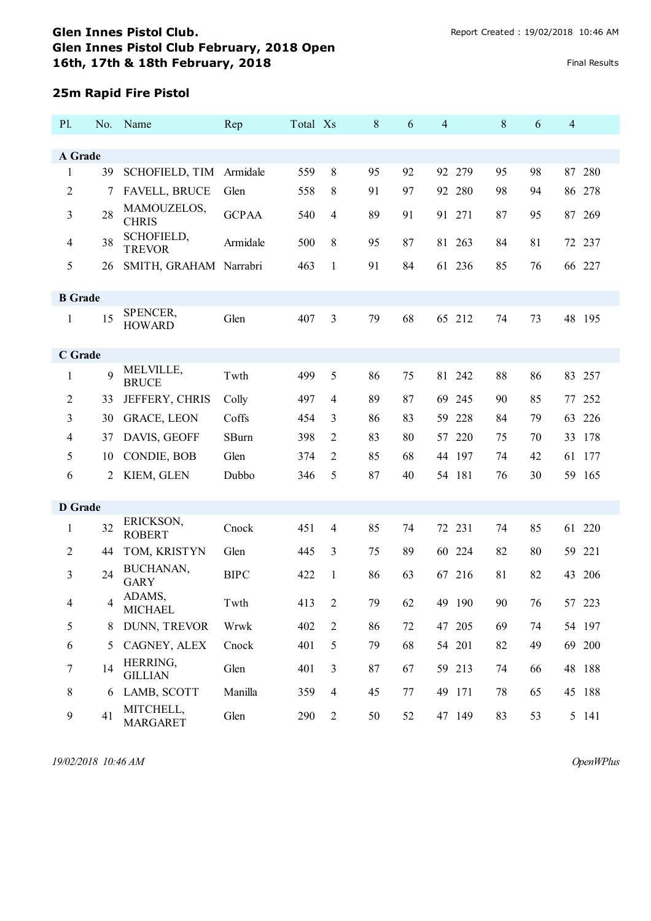## **25m Rapid Fire Pistol**

| P1.              | No. | Name                         | Rep          | Total Xs |                | 8  | 6  | $\overline{4}$ | 8  | 6  | $\overline{4}$ |     |
|------------------|-----|------------------------------|--------------|----------|----------------|----|----|----------------|----|----|----------------|-----|
|                  |     |                              |              |          |                |    |    |                |    |    |                |     |
| A Grade          |     |                              |              |          |                |    |    |                |    |    |                |     |
| $\mathbf{1}$     | 39  | SCHOFIELD, TIM               | Armidale     | 559      | 8              | 95 | 92 | 92 279         | 95 | 98 | 87             | 280 |
| $\overline{c}$   | 7   | FAVELL, BRUCE                | Glen         | 558      | 8              | 91 | 97 | 92 280         | 98 | 94 | 86 278         |     |
| 3                | 28  | MAMOUZELOS,<br><b>CHRIS</b>  | <b>GCPAA</b> | 540      | $\overline{4}$ | 89 | 91 | 91 271         | 87 | 95 | 87 269         |     |
| $\overline{4}$   | 38  | SCHOFIELD,<br><b>TREVOR</b>  | Armidale     | 500      | 8              | 95 | 87 | 81 263         | 84 | 81 | 72 237         |     |
| 5                | 26  | SMITH, GRAHAM Narrabri       |              | 463      | 1              | 91 | 84 | 61 236         | 85 | 76 | 66 227         |     |
| <b>B</b> Grade   |     |                              |              |          |                |    |    |                |    |    |                |     |
| 1                | 15  | SPENCER,<br><b>HOWARD</b>    | Glen         | 407      | 3              | 79 | 68 | 65 212         | 74 | 73 | 48 195         |     |
| C Grade          |     |                              |              |          |                |    |    |                |    |    |                |     |
| $\mathbf{1}$     | 9   | MELVILLE,<br><b>BRUCE</b>    | Twth         | 499      | 5              | 86 | 75 | 81 242         | 88 | 86 | 83 257         |     |
| 2                | 33  | JEFFERY, CHRIS               | Colly        | 497      | $\overline{4}$ | 89 | 87 | 69 245         | 90 | 85 | 77 252         |     |
| 3                | 30  | <b>GRACE, LEON</b>           | Coffs        | 454      | 3              | 86 | 83 | 59 228         | 84 | 79 | 63 226         |     |
| 4                | 37  | DAVIS, GEOFF                 | SBurn        | 398      | 2              | 83 | 80 | 57 220         | 75 | 70 | 33 178         |     |
| 5                | 10  | CONDIE, BOB                  | Glen         | 374      | 2              | 85 | 68 | 197<br>44      | 74 | 42 | 61             | 177 |
| 6                | 2   | KIEM, GLEN                   | Dubbo        | 346      | 5              | 87 | 40 | 54 181         | 76 | 30 | 59 165         |     |
| <b>D</b> Grade   |     |                              |              |          |                |    |    |                |    |    |                |     |
| $\mathbf{1}$     | 32  | ERICKSON,                    | Cnock        | 451      | $\overline{4}$ | 85 | 74 | 72 231         | 74 | 85 | 61 220         |     |
|                  |     | <b>ROBERT</b>                |              |          |                |    |    |                |    |    |                |     |
| $\overline{2}$   | 44  | TOM, KRISTYN                 | Glen         | 445      | 3              | 75 | 89 | 224<br>60      | 82 | 80 | 59             | 221 |
| 3                | 24  | BUCHANAN,<br><b>GARY</b>     | <b>BIPC</b>  | 422      | 1              | 86 | 63 | 67 216         | 81 | 82 | 43 206         |     |
| 4                | 4   | ADAMS,<br><b>MICHAEL</b>     | Twth         | 413      | 2              | 79 | 62 | 49 190         | 90 | 76 | 57 223         |     |
| 5                | 8   | DUNN, TREVOR                 | Wrwk         | 402      | $\overline{2}$ | 86 | 72 | 47 205         | 69 | 74 | 54 197         |     |
| 6                | 5   | CAGNEY, ALEX                 | Cnock        | 401      | 5              | 79 | 68 | 54 201         | 82 | 49 | 69 200         |     |
| $\boldsymbol{7}$ | 14  | HERRING,<br><b>GILLIAN</b>   | Glen         | 401      | 3              | 87 | 67 | 59 213         | 74 | 66 | 48 188         |     |
| 8                | 6   | LAMB, SCOTT                  | Manilla      | 359      | $\overline{4}$ | 45 | 77 | 49 171         | 78 | 65 | 45 188         |     |
| $\boldsymbol{9}$ | 41  | MITCHELL,<br><b>MARGARET</b> | Glen         | 290      | $\overline{2}$ | 50 | 52 | 47 149         | 83 | 53 | 5 141          |     |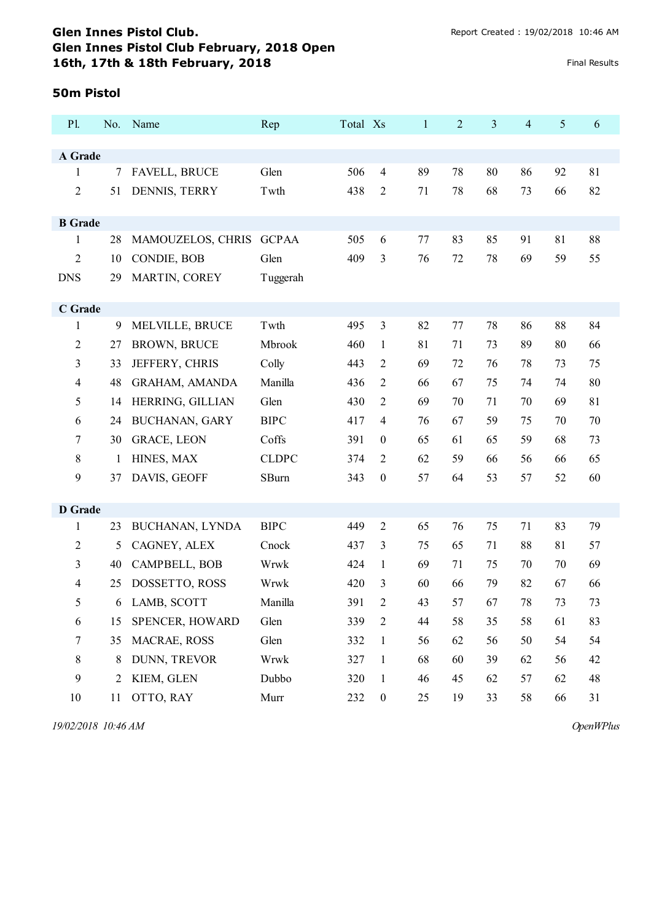#### **50m Pistol**

| P1.            |    | No. Name              | Rep          | Total Xs |                  | $\mathbf{1}$ | $\overline{2}$ | 3  | $\overline{4}$ | 5  | 6  |
|----------------|----|-----------------------|--------------|----------|------------------|--------------|----------------|----|----------------|----|----|
|                |    |                       |              |          |                  |              |                |    |                |    |    |
| A Grade        |    |                       |              |          |                  |              |                |    |                |    |    |
| $\mathbf{1}$   | 7  | FAVELL, BRUCE         | Glen         | 506      | $\overline{4}$   | 89           | 78             | 80 | 86             | 92 | 81 |
| $\overline{c}$ | 51 | DENNIS, TERRY         | Twth         | 438      | 2                | 71           | 78             | 68 | 73             | 66 | 82 |
| <b>B</b> Grade |    |                       |              |          |                  |              |                |    |                |    |    |
| 1              | 28 | MAMOUZELOS, CHRIS     | <b>GCPAA</b> | 505      | 6                | 77           | 83             | 85 | 91             | 81 | 88 |
| $\overline{c}$ | 10 | CONDIE, BOB           | Glen         | 409      | 3                | 76           | 72             | 78 | 69             | 59 | 55 |
| <b>DNS</b>     | 29 | MARTIN, COREY         | Tuggerah     |          |                  |              |                |    |                |    |    |
|                |    |                       |              |          |                  |              |                |    |                |    |    |
| C Grade        |    |                       |              |          |                  |              |                |    |                |    |    |
| 1              | 9  | MELVILLE, BRUCE       | Twth         | 495      | 3                | 82           | 77             | 78 | 86             | 88 | 84 |
| $\overline{2}$ | 27 | <b>BROWN, BRUCE</b>   | Mbrook       | 460      | 1                | 81           | 71             | 73 | 89             | 80 | 66 |
| 3              | 33 | JEFFERY, CHRIS        | Colly        | 443      | $\overline{2}$   | 69           | 72             | 76 | 78             | 73 | 75 |
| $\overline{4}$ | 48 | <b>GRAHAM, AMANDA</b> | Manilla      | 436      | 2                | 66           | 67             | 75 | 74             | 74 | 80 |
| 5              | 14 | HERRING, GILLIAN      | Glen         | 430      | 2                | 69           | 70             | 71 | 70             | 69 | 81 |
| 6              | 24 | BUCHANAN, GARY        | <b>BIPC</b>  | 417      | 4                | 76           | 67             | 59 | 75             | 70 | 70 |
| 7              | 30 | <b>GRACE, LEON</b>    | Coffs        | 391      | $\overline{0}$   | 65           | 61             | 65 | 59             | 68 | 73 |
| 8              | 1  | HINES, MAX            | <b>CLDPC</b> | 374      | $\overline{2}$   | 62           | 59             | 66 | 56             | 66 | 65 |
| 9              | 37 | DAVIS, GEOFF          | SBurn        | 343      | $\boldsymbol{0}$ | 57           | 64             | 53 | 57             | 52 | 60 |
|                |    |                       |              |          |                  |              |                |    |                |    |    |
| <b>D</b> Grade |    |                       |              |          |                  |              |                |    |                |    |    |
| $\mathbf{1}$   | 23 | BUCHANAN, LYNDA       | <b>BIPC</b>  | 449      | $\overline{2}$   | 65           | 76             | 75 | 71             | 83 | 79 |
| $\overline{c}$ | 5  | CAGNEY, ALEX          | Cnock        | 437      | 3                | 75           | 65             | 71 | 88             | 81 | 57 |
| 3              | 40 | CAMPBELL, BOB         | Wrwk         | 424      | 1                | 69           | 71             | 75 | 70             | 70 | 69 |
| $\overline{4}$ | 25 | DOSSETTO, ROSS        | Wrwk         | 420      | 3                | 60           | 66             | 79 | 82             | 67 | 66 |
| 5              |    | 6 LAMB, SCOTT         | Manilla      | 391      | 2                | 43           | 57             | 67 | 78             | 73 | 73 |
| 6              | 15 | SPENCER, HOWARD       | Glen         | 339      | $\overline{2}$   | 44           | 58             | 35 | 58             | 61 | 83 |
| 7              | 35 | MACRAE, ROSS          | Glen         | 332      | $\mathbf{1}$     | 56           | 62             | 56 | 50             | 54 | 54 |
| 8              | 8  | DUNN, TREVOR          | Wrwk         | 327      | $\mathbf{1}$     | 68           | 60             | 39 | 62             | 56 | 42 |
| 9              | 2  | KIEM, GLEN            | Dubbo        | 320      | $\mathbf{1}$     | 46           | 45             | 62 | 57             | 62 | 48 |
| 10             | 11 | OTTO, RAY             | Murr         | 232      | $\boldsymbol{0}$ | 25           | 19             | 33 | 58             | 66 | 31 |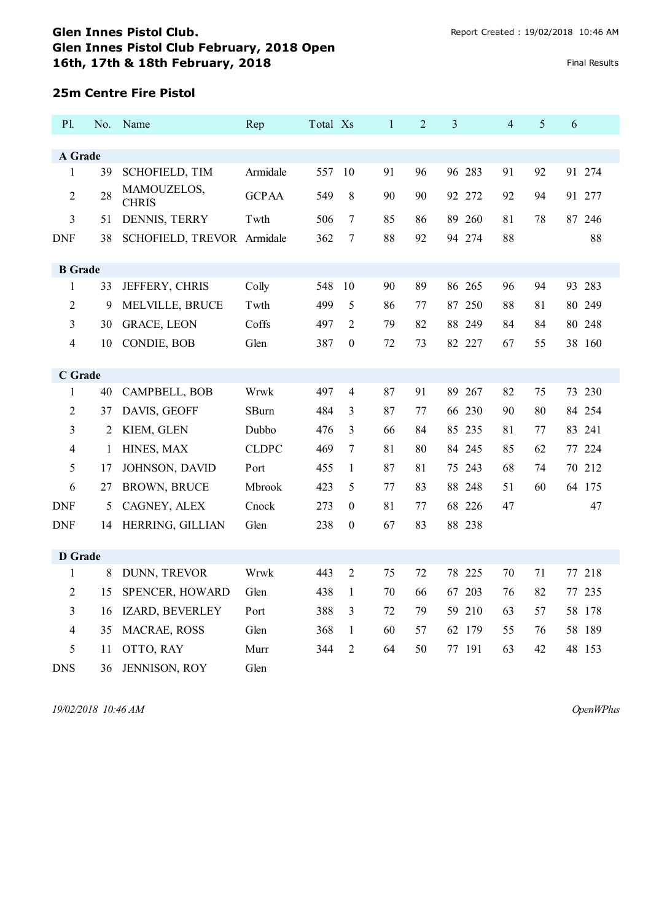#### **25m Centre Fire Pistol**

| P1.            |    | No. Name                    | Rep          | Total Xs |                  | $\mathbf{1}$ | $\overline{c}$ | 3         | $\overline{4}$ | 5  | 6      |  |
|----------------|----|-----------------------------|--------------|----------|------------------|--------------|----------------|-----------|----------------|----|--------|--|
| A Grade        |    |                             |              |          |                  |              |                |           |                |    |        |  |
| $\mathbf{1}$   | 39 | <b>SCHOFIELD, TIM</b>       | Armidale     | 557      | 10               | 91           | 96             | 96 283    | 91             | 92 | 91 274 |  |
| $\overline{2}$ | 28 | MAMOUZELOS,<br><b>CHRIS</b> | <b>GCPAA</b> | 549      | 8                | 90           | 90             | 92 272    | 92             | 94 | 91 277 |  |
| 3              | 51 | DENNIS, TERRY               | Twth         | 506      | $\tau$           | 85           | 86             | 89 260    | 81             | 78 | 87 246 |  |
| <b>DNF</b>     | 38 | SCHOFIELD, TREVOR Armidale  |              | 362      | 7                | 88           | 92             | 94 274    | 88             |    | 88     |  |
| <b>B</b> Grade |    |                             |              |          |                  |              |                |           |                |    |        |  |
| 1              | 33 | JEFFERY, CHRIS              | Colly        | 548      | 10               | 90           | 89             | 86 265    | 96             | 94 | 93 283 |  |
| $\overline{2}$ | 9  | MELVILLE, BRUCE             | Twth         | 499      | 5                | 86           | 77             | 87<br>250 | 88             | 81 | 80 249 |  |
| 3              | 30 | <b>GRACE, LEON</b>          | Coffs        | 497      | 2                | 79           | 82             | 88 249    | 84             | 84 | 80 248 |  |
| $\overline{4}$ | 10 | CONDIE, BOB                 | Glen         | 387      | $\boldsymbol{0}$ | 72           | 73             | 82 227    | 67             | 55 | 38 160 |  |
| C Grade        |    |                             |              |          |                  |              |                |           |                |    |        |  |
| 1              | 40 | CAMPBELL, BOB               | Wrwk         | 497      | 4                | 87           | 91             | 89 267    | 82             | 75 | 73 230 |  |
| $\overline{2}$ | 37 | DAVIS, GEOFF                | SBurn        | 484      | 3                | 87           | 77             | 66 230    | 90             | 80 | 84 254 |  |
| 3              | 2  | KIEM, GLEN                  | Dubbo        | 476      | 3                | 66           | 84             | 85 235    | 81             | 77 | 83 241 |  |
| 4              | 1  | HINES, MAX                  | <b>CLDPC</b> | 469      | 7                | 81           | 80             | 245<br>84 | 85             | 62 | 77 224 |  |
| 5              | 17 | JOHNSON, DAVID              | Port         | 455      | 1                | 87           | 81             | 75 243    | 68             | 74 | 70 212 |  |
| 6              | 27 | <b>BROWN, BRUCE</b>         | Mbrook       | 423      | 5                | 77           | 83             | 88 248    | 51             | 60 | 64 175 |  |
| <b>DNF</b>     | 5  | CAGNEY, ALEX                | Cnock        | 273      | $\boldsymbol{0}$ | 81           | 77             | 68 226    | 47             |    | 47     |  |
| <b>DNF</b>     | 14 | HERRING, GILLIAN            | Glen         | 238      | $\theta$         | 67           | 83             | 88 238    |                |    |        |  |
| <b>D</b> Grade |    |                             |              |          |                  |              |                |           |                |    |        |  |
| 1              | 8  | DUNN, TREVOR                | Wrwk         | 443      | $\overline{2}$   | 75           | 72             | 78 225    | 70             | 71 | 77 218 |  |
| 2              | 15 | SPENCER, HOWARD             | Glen         | 438      | 1                | 70           | 66             | 203<br>67 | 76             | 82 | 77 235 |  |
| 3              | 16 | IZARD, BEVERLEY             | Port         | 388      | 3                | 72           | 79             | 59 210    | 63             | 57 | 58 178 |  |
| 4              | 35 | MACRAE, ROSS                | Glen         | 368      | $\mathbf{1}$     | 60           | 57             | 62 179    | 55             | 76 | 58 189 |  |
| 5              | 11 | OTTO, RAY                   | Murr         | 344      | $\overline{2}$   | 64           | 50             | 77 191    | 63             | 42 | 48 153 |  |
| <b>DNS</b>     | 36 | JENNISON, ROY               | Glen         |          |                  |              |                |           |                |    |        |  |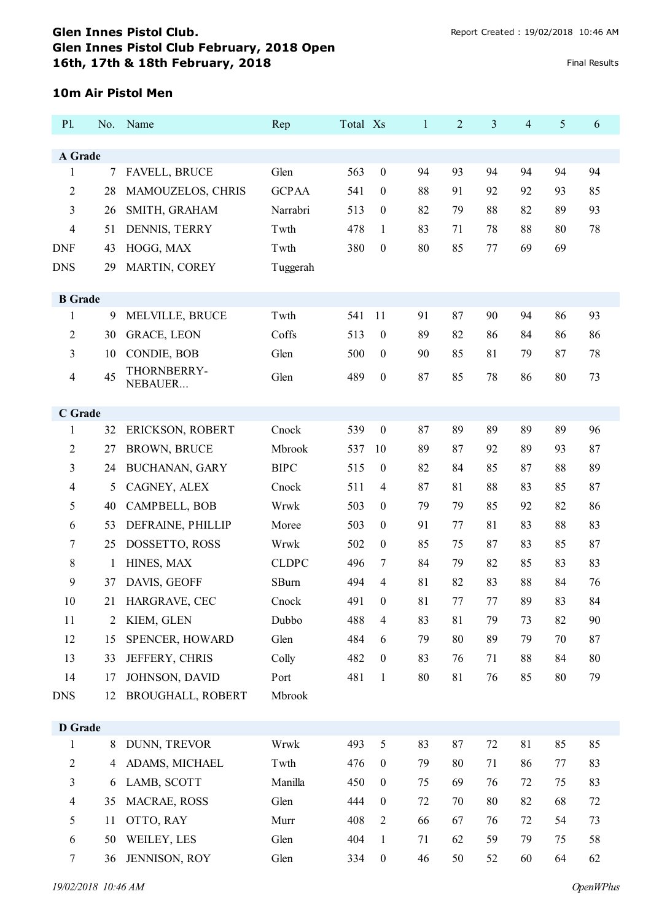#### **10m Air Pistol Men**

| P1.            | No. | Name                       | Rep           | Total Xs |                  | $\mathbf{1}$ | 2  | 3  | 4  | 5  | 6  |
|----------------|-----|----------------------------|---------------|----------|------------------|--------------|----|----|----|----|----|
| A Grade        |     |                            |               |          |                  |              |    |    |    |    |    |
| 1              | 7   | <b>FAVELL, BRUCE</b>       | Glen          | 563      | $\boldsymbol{0}$ | 94           | 93 | 94 | 94 | 94 | 94 |
| 2              | 28  | MAMOUZELOS, CHRIS          | <b>GCPAA</b>  | 541      | $\boldsymbol{0}$ | 88           | 91 | 92 | 92 | 93 | 85 |
| 3              | 26  | SMITH, GRAHAM              | Narrabri      | 513      | $\boldsymbol{0}$ | 82           | 79 | 88 | 82 | 89 | 93 |
| 4              | 51  | DENNIS, TERRY              | Twth          | 478      | 1                | 83           | 71 | 78 | 88 | 80 | 78 |
| <b>DNF</b>     | 43  | HOGG, MAX                  | Twth          | 380      | $\boldsymbol{0}$ | 80           | 85 | 77 | 69 | 69 |    |
| <b>DNS</b>     | 29  | MARTIN, COREY              | Tuggerah      |          |                  |              |    |    |    |    |    |
|                |     |                            |               |          |                  |              |    |    |    |    |    |
| <b>B</b> Grade |     |                            |               |          |                  |              |    |    |    |    |    |
| 1              | 9   | MELVILLE, BRUCE            | Twth<br>Coffs | 541      | 11               | 91           | 87 | 90 | 94 | 86 | 93 |
| 2              | 30  | <b>GRACE, LEON</b>         |               | 513      | $\boldsymbol{0}$ | 89           | 82 | 86 | 84 | 86 | 86 |
| 3              | 10  | CONDIE, BOB<br>THORNBERRY- | Glen          | 500      | $\boldsymbol{0}$ | 90           | 85 | 81 | 79 | 87 | 78 |
| $\overline{4}$ | 45  | NEBAUER                    | Glen          | 489      | $\boldsymbol{0}$ | 87           | 85 | 78 | 86 | 80 | 73 |
|                |     |                            |               |          |                  |              |    |    |    |    |    |
| C Grade<br>1   | 32  | ERICKSON, ROBERT           | Cnock         | 539      | $\boldsymbol{0}$ | 87           | 89 | 89 | 89 | 89 | 96 |
| $\overline{2}$ | 27  | <b>BROWN, BRUCE</b>        | Mbrook        | 537      | 10               | 89           | 87 | 92 | 89 | 93 | 87 |
| 3              | 24  | <b>BUCHANAN, GARY</b>      | <b>BIPC</b>   | 515      | $\boldsymbol{0}$ | 82           | 84 | 85 | 87 | 88 | 89 |
| 4              | 5   | CAGNEY, ALEX               | Cnock         | 511      | $\overline{4}$   | 87           | 81 | 88 | 83 | 85 | 87 |
| 5              | 40  | CAMPBELL, BOB              | Wrwk          | 503      | $\boldsymbol{0}$ | 79           | 79 | 85 | 92 | 82 | 86 |
| 6              | 53  | DEFRAINE, PHILLIP          | Moree         | 503      | $\boldsymbol{0}$ | 91           | 77 | 81 | 83 | 88 | 83 |
| 7              | 25  | DOSSETTO, ROSS             | Wrwk          | 502      | $\boldsymbol{0}$ | 85           | 75 | 87 | 83 | 85 | 87 |
| 8              | 1   | HINES, MAX                 | <b>CLDPC</b>  | 496      | 7                | 84           | 79 | 82 | 85 | 83 | 83 |
| 9              | 37  | DAVIS, GEOFF               | SBurn         | 494      | 4                | 81           | 82 | 83 | 88 | 84 | 76 |
| 10             | 21  | HARGRAVE, CEC              | Cnock         | 491      | $\mathbf{0}$     | 81           | 77 | 77 | 89 | 83 | 84 |
| 11             | 2   | KIEM, GLEN                 | Dubbo         | 488      | $\overline{4}$   | 83           | 81 | 79 | 73 | 82 | 90 |
| 12             | 15  | SPENCER, HOWARD            | Glen          | 484      | 6                | 79           | 80 | 89 | 79 | 70 | 87 |
| 13             | 33  | JEFFERY, CHRIS             | Colly         | 482      | $\boldsymbol{0}$ | 83           | 76 | 71 | 88 | 84 | 80 |
| 14             | 17  | JOHNSON, DAVID             | Port          | 481      | $\mathbf{1}$     | 80           | 81 | 76 | 85 | 80 | 79 |
| <b>DNS</b>     | 12  | <b>BROUGHALL, ROBERT</b>   | Mbrook        |          |                  |              |    |    |    |    |    |
|                |     |                            |               |          |                  |              |    |    |    |    |    |
| D Grade<br>1   | 8   | DUNN, TREVOR               | Wrwk          | 493      | 5                | 83           | 87 | 72 | 81 | 85 | 85 |
| $\overline{2}$ | 4   | ADAMS, MICHAEL             | Twth          | 476      | $\boldsymbol{0}$ | 79           | 80 | 71 | 86 | 77 | 83 |
| $\mathfrak{Z}$ | 6   | LAMB, SCOTT                | Manilla       | 450      | $\boldsymbol{0}$ | 75           | 69 | 76 | 72 | 75 | 83 |
| 4              | 35  | MACRAE, ROSS               | Glen          | 444      | $\boldsymbol{0}$ | 72           | 70 | 80 | 82 | 68 | 72 |
| 5              | 11  | OTTO, RAY                  | Murr          | 408      | $\overline{2}$   | 66           | 67 | 76 | 72 | 54 | 73 |
| 6              | 50  | WEILEY, LES                | Glen          | 404      | $\mathbf{1}$     | 71           | 62 | 59 | 79 | 75 | 58 |
| $\overline{7}$ | 36  | JENNISON, ROY              | Glen          | 334      | $\boldsymbol{0}$ | 46           | 50 | 52 | 60 | 64 | 62 |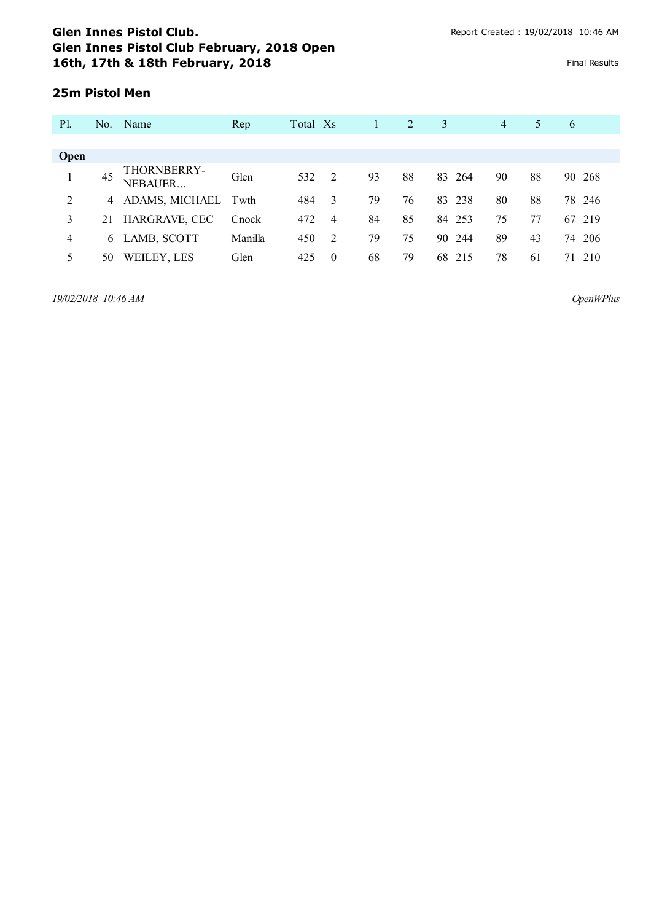## **25m Pistol Men**

| <b>P</b> l. |    | No. Name               | Rep     | Total Xs |                | 1  | 2  | 3         | $\overline{4}$ | 5  | 6      |
|-------------|----|------------------------|---------|----------|----------------|----|----|-----------|----------------|----|--------|
|             |    |                        |         |          |                |    |    |           |                |    |        |
| Open        |    |                        |         |          |                |    |    |           |                |    |        |
|             | 45 | THORNBERRY-<br>NEBAUER | Glen    | 532      | 2              | 93 | 88 | 83<br>264 | 90             | 88 | 90 268 |
| 2           | 4  | ADAMS, MICHAEL Twth    |         | 484      | -3             | 79 | 76 | 83<br>238 | 80             | 88 | 78 246 |
| 3           |    | 21 HARGRAVE, CEC       | Cnock   | 472      | $\overline{4}$ | 84 | 85 | 253<br>84 | 75             | 77 | 67 219 |
| 4           |    | 6 LAMB, SCOTT          | Manilla | 450      | 2              | 79 | 75 | 90<br>244 | 89             | 43 | 74 206 |
|             | 50 | WEILEY, LES            | Glen    | 425      | $\Omega$       | 68 | 79 | 68<br>215 | 78             | 61 | 71 210 |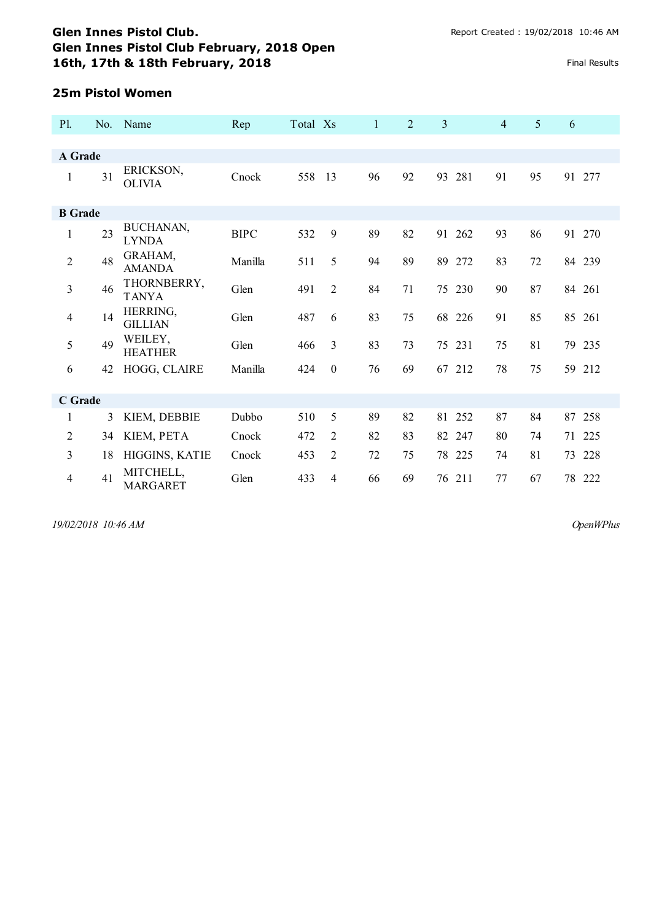#### **25m Pistol Women**

| <b>P1.</b>     | No. | Name                         | Rep         | Total Xs |          | $\mathbf{1}$ | 2  | 3         |    | $\overline{4}$ | 5<br>6   |        |
|----------------|-----|------------------------------|-------------|----------|----------|--------------|----|-----------|----|----------------|----------|--------|
|                |     |                              |             |          |          |              |    |           |    |                |          |        |
| A Grade        |     |                              |             |          |          |              |    |           |    |                |          |        |
| $\mathbf{1}$   | 31  | ERICKSON,<br><b>OLIVIA</b>   | Cnock       | 558      | 13       | 96           | 92 | 281<br>93 | 91 |                | 95<br>91 | 277    |
| <b>B</b> Grade |     |                              |             |          |          |              |    |           |    |                |          |        |
| $\mathbf{1}$   | 23  | BUCHANAN,<br><b>LYNDA</b>    | <b>BIPC</b> | 532      | 9        | 89           | 82 | 91<br>262 | 93 |                | 86       | 91 270 |
| $\overline{2}$ | 48  | GRAHAM,<br><b>AMANDA</b>     | Manilla     | 511      | 5        | 94           | 89 | 89 272    | 83 |                | 72       | 84 239 |
| 3              | 46  | THORNBERRY,<br><b>TANYA</b>  | Glen        | 491      | 2        | 84           | 71 | 75 230    | 90 |                | 87       | 84 261 |
| $\overline{4}$ | 14  | HERRING,<br><b>GILLIAN</b>   | Glen        | 487      | 6        | 83           | 75 | 68 226    | 91 |                | 85       | 85 261 |
| 5              | 49  | WEILEY,<br><b>HEATHER</b>    | Glen        | 466      | 3        | 83           | 73 | 75 231    | 75 |                | 81       | 79 235 |
| 6              | 42  | HOGG, CLAIRE                 | Manilla     | 424      | $\theta$ | 76           | 69 | 67 212    | 78 |                | 75       | 59 212 |
| C Grade        |     |                              |             |          |          |              |    |           |    |                |          |        |
| 1              | 3   | KIEM, DEBBIE                 | Dubbo       | 510      | 5        | 89           | 82 | 81<br>252 | 87 |                | 84<br>87 | 258    |
| 2              | 34  | KIEM, PETA                   | Cnock       | 472      | 2        | 82           | 83 | 82<br>247 | 80 |                | 74<br>71 | 225    |
| 3              | 18  | HIGGINS, KATIE               | Cnock       | 453      | 2        | 72           | 75 | 78 225    | 74 | 81             | 73       | 228    |
| $\overline{4}$ | 41  | MITCHELL,<br><b>MARGARET</b> | Glen        | 433      | 4        | 66           | 69 | 211<br>76 | 77 |                | 67       | 78 222 |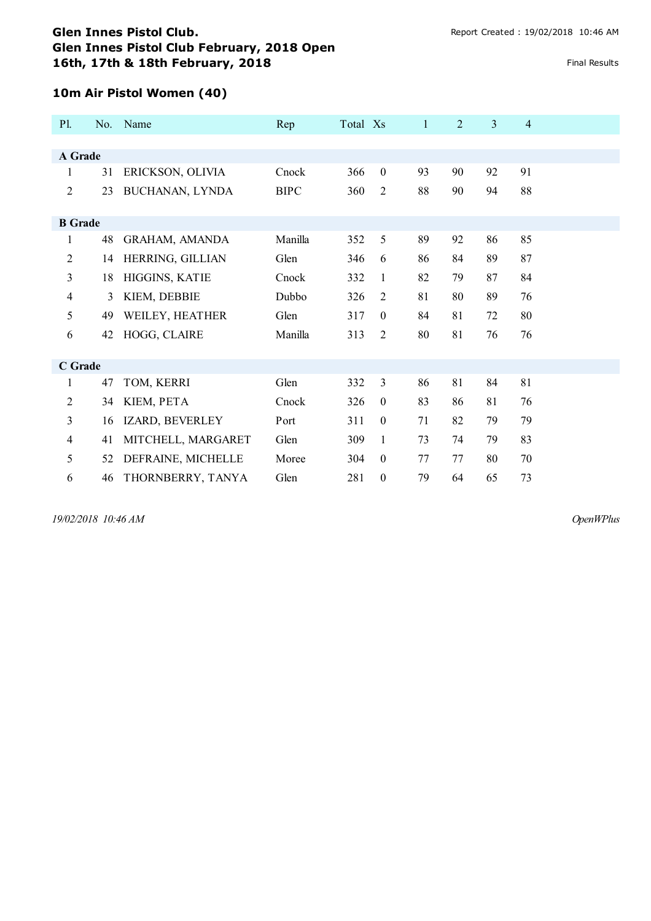## **10m Air Pistol Women (40)**

| <b>P1.</b>     | No. | Name               | Rep         | Total Xs |                  | $\mathbf{1}$ | $\overline{2}$ | 3  | $\overline{4}$ |  |
|----------------|-----|--------------------|-------------|----------|------------------|--------------|----------------|----|----------------|--|
| A Grade        |     |                    |             |          |                  |              |                |    |                |  |
| 1              | 31  | ERICKSON, OLIVIA   | Cnock       | 366      | $\boldsymbol{0}$ | 93           | 90             | 92 | 91             |  |
| $\overline{2}$ | 23  | BUCHANAN, LYNDA    | <b>BIPC</b> | 360      | $\overline{c}$   | 88           | 90             | 94 | 88             |  |
| <b>B</b> Grade |     |                    |             |          |                  |              |                |    |                |  |
| 1              | 48  | GRAHAM, AMANDA     | Manilla     | 352      | 5                | 89           | 92             | 86 | 85             |  |
| $\overline{2}$ | 14  | HERRING, GILLIAN   | Glen        | 346      | 6                | 86           | 84             | 89 | 87             |  |
| 3              | 18  | HIGGINS, KATIE     | Cnock       | 332      | 1                | 82           | 79             | 87 | 84             |  |
| $\overline{4}$ | 3   | KIEM, DEBBIE       | Dubbo       | 326      | 2                | 81           | 80             | 89 | 76             |  |
| 5              | 49  | WEILEY, HEATHER    | Glen        | 317      | $\boldsymbol{0}$ | 84           | 81             | 72 | 80             |  |
| 6              | 42  | HOGG, CLAIRE       | Manilla     | 313      | 2                | 80           | 81             | 76 | 76             |  |
|                |     |                    |             |          |                  |              |                |    |                |  |
| C Grade        |     |                    |             |          |                  |              |                |    |                |  |
| 1              | 47  | TOM, KERRI         | Glen        | 332      | 3                | 86           | 81             | 84 | 81             |  |
| $\overline{c}$ | 34  | KIEM, PETA         | Cnock       | 326      | $\boldsymbol{0}$ | 83           | 86             | 81 | 76             |  |
| 3              | 16  | IZARD, BEVERLEY    | Port        | 311      | $\boldsymbol{0}$ | 71           | 82             | 79 | 79             |  |
| 4              | 41  | MITCHELL, MARGARET | Glen        | 309      | $\mathbf{1}$     | 73           | 74             | 79 | 83             |  |
| 5              | 52  | DEFRAINE, MICHELLE | Moree       | 304      | $\boldsymbol{0}$ | 77           | 77             | 80 | 70             |  |
| 6              | 46  | THORNBERRY, TANYA  | Glen        | 281      | $\boldsymbol{0}$ | 79           | 64             | 65 | 73             |  |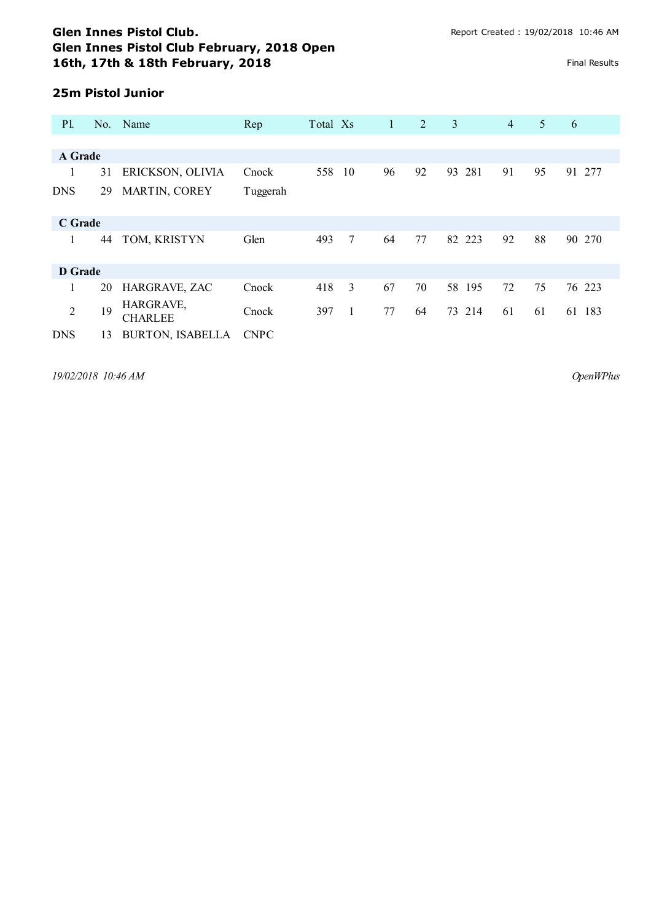# **25m Pistol Junior**

| <b>P</b> l.    |    | No. Name                    | Rep         | Total Xs |                         | $\mathbf{1}$ | 2  | 3         | $\overline{4}$ | 5  | 6         |
|----------------|----|-----------------------------|-------------|----------|-------------------------|--------------|----|-----------|----------------|----|-----------|
|                |    |                             |             |          |                         |              |    |           |                |    |           |
| A Grade        |    |                             |             |          |                         |              |    |           |                |    |           |
| 1              | 31 | ERICKSON, OLIVIA            | Cnock       | 558      | 10                      | 96           | 92 | 93<br>281 | 91             | 95 | 91 277    |
| <b>DNS</b>     | 29 | MARTIN, COREY               | Tuggerah    |          |                         |              |    |           |                |    |           |
| C Grade        |    |                             |             |          |                         |              |    |           |                |    |           |
| 1              | 44 | TOM, KRISTYN                | Glen        | 493      | $7\phantom{.0}$         | 64           | 77 | 82 223    | 92             | 88 | 90 270    |
| D Grade        |    |                             |             |          |                         |              |    |           |                |    |           |
| 1              | 20 | HARGRAVE, ZAC               | Cnock       | 418      | $\overline{\mathbf{3}}$ | 67           | 70 | 58 195    | 72             | 75 | 76 223    |
| $\overline{2}$ | 19 | HARGRAVE,<br><b>CHARLEE</b> | Cnock       | 397      | 1                       | 77           | 64 | 214<br>73 | 61             | 61 | 61<br>183 |
| <b>DNS</b>     | 13 | <b>BURTON, ISABELLA</b>     | <b>CNPC</b> |          |                         |              |    |           |                |    |           |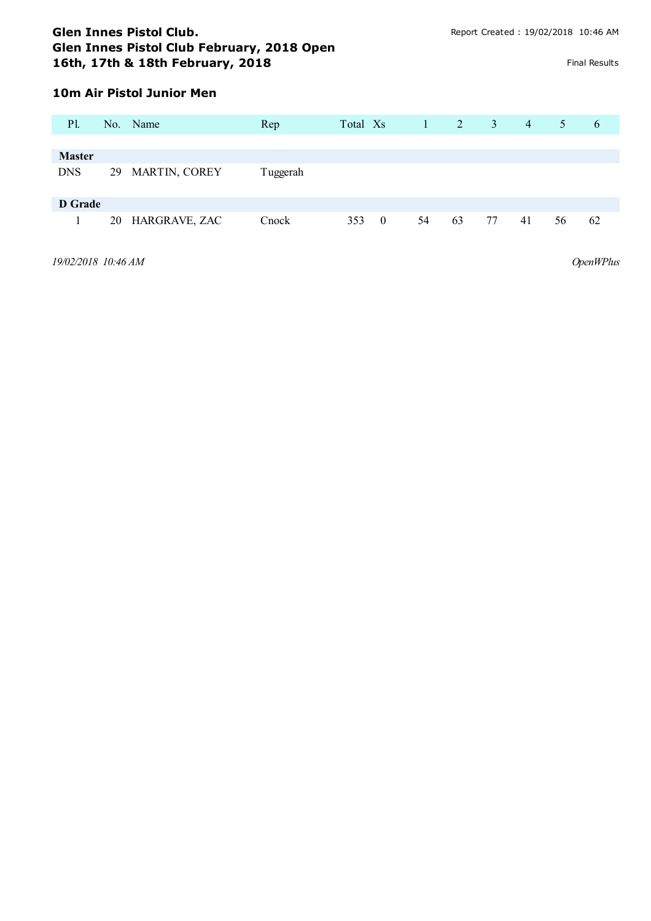# **10m Air Pistol Junior Men**

| P1.           |    | No. Name         | Rep      | Total Xs |                | $\mathbf{1}$ | 2  | $\mathbf{3}$ | $\overline{4}$ | 5  | 6  |
|---------------|----|------------------|----------|----------|----------------|--------------|----|--------------|----------------|----|----|
|               |    |                  |          |          |                |              |    |              |                |    |    |
| <b>Master</b> |    |                  |          |          |                |              |    |              |                |    |    |
| <b>DNS</b>    | 29 | MARTIN, COREY    | Tuggerah |          |                |              |    |              |                |    |    |
| D Grade       |    |                  |          |          |                |              |    |              |                |    |    |
| 1             |    | 20 HARGRAVE, ZAC | Cnock    | 353      | $\overline{0}$ | 54           | 63 | 77           | 41             | 56 | 62 |